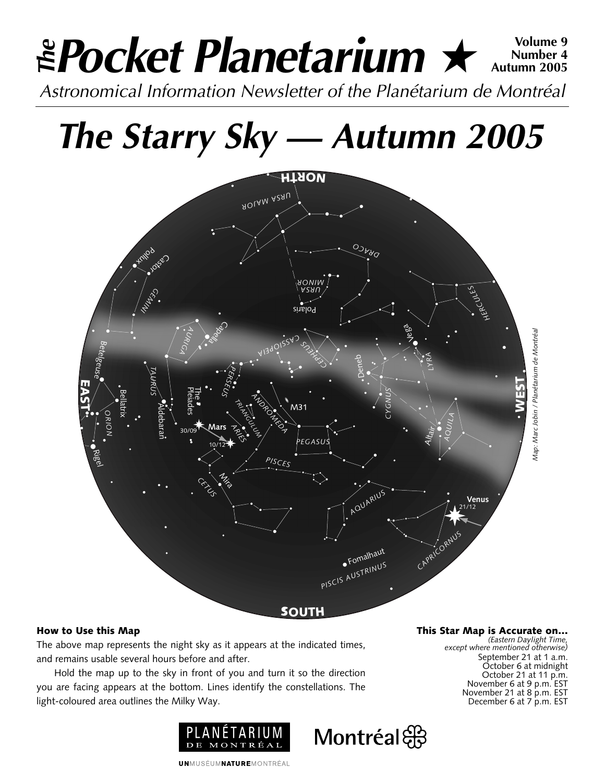# *Pocket Planetarium* ★ **Volume 9** *Astronomical Information Newsletter of the Planétarium de Montréal The* **Number 4 Autumn 2005**

*The Starry Sky — Autumn 2005*



Montréal

# **How to Use this Map**

The above map represents the night sky as it appears at the indicated times, and remains usable several hours before and after.

Hold the map up to the sky in front of you and turn it so the direction you are facing appears at the bottom. Lines identify the constellations. The light-coloured area outlines the Milky Way.



**This Star Map is Accurate on…** *(Eastern Daylight Time,*

*except where mentioned otherwise)* September 21 at 1 a.m. October 6 at midnight October 21 at 11 p.m. November 6 at 9 p.m. EST November 21 at 8 p.m. EST December 6 at 7 p.m. EST

**UNMUSÉUMNATUREMONTRÉAL**